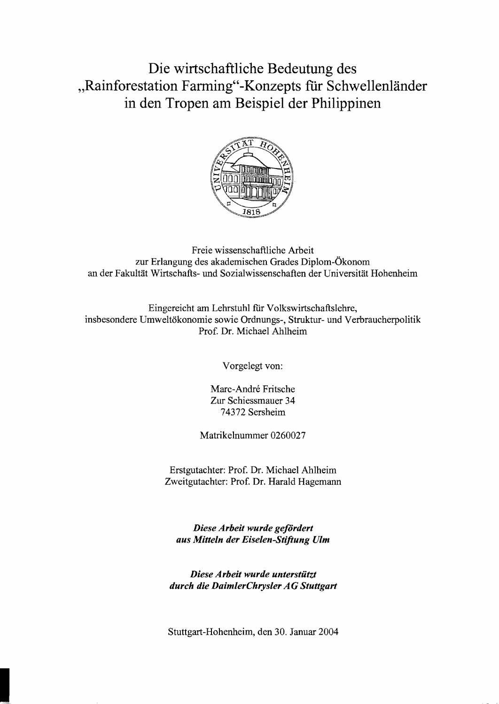## Die wirtschaftliche Bedeutung des "Rainforestation Farming"-Konzepts für Schwellenländer in den Tropen am Beispiel der Philippinen



Freie wissenschaftliche Arbeit zur Erlangung des akademischen Grades Diplom-Ökonom an der Fakultät Wirtschafts- und Sozialwissenschaften der Universität Hohenheim

Eingereicht am Lehrstuhl für Volkswirtschaftslehre, insbesondere Umweltökonomie sowie Ordnungs-, Struktur- und Verbraucherpolitik Prof. Dr. Michael Ahlheim

Vorgelegt von:

Mare-Andre Fritsche Zur Schiessmauer 34 74372 Sersheim

Matrikelnummer 0260027

Erstgutachter: Prof. Dr. Michael Ahlheim Zweitgutachter: Prof. Dr. Harald Hagemann

*Diese Arbeit wurde gefördert aus Mitteln der Eiselen-Stiftung Ulm* 

*Diese Arbeit wurde unterstützt durch die DaimlerChrysler AG Stuttgart* 

Stuttgart-Hohenheim, den 30. Januar 2004